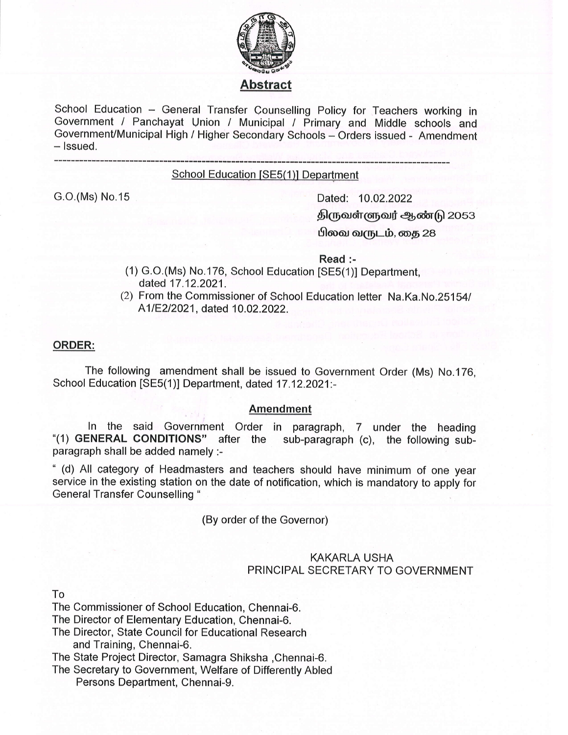

# Abstract

School Education - General Transfer Counselling Policy for Teachers working in Government / Panchayat Union / Municipal / Primary and Middle schools and Government/Municipal High / Higher Secondary Schools - Orders issued - Amendment  $-$  lssued.

#### School Education [SE5(1)] Department

G.O.(Ms) No.15 Dated: 10.02.2022 திருவள்ளுவர் ஆண்டு 2053 பிலவ வருடம், தை 28

Read :-

- (1) c.O.(Ms) No.176, School Education [SE5(1)] Department, dated 17.12.2021.
- $(2)$  From the Commissioner of School Education letter Na.Ka.No.25154/ A1/E2/2021, dated 10.02.2022.

#### ORDER:

The following amendment shall be issued to Government Order (Ms) No.176, School Education [SE5(1)] Department, dated 17.12.2021:-

### Amendment

ln the said Government Order in paragraph, 7 under the heading "(1) GENERAL CONDITIONS" after the sub-paragraph (c), the following subparagraph shall be added namely :-

" (d) All category of Headmasters and teachers should have minimum of one year service in the existing station on the date of notification, which is mandatory to apply for General Transfer Counselling "

(By order of the Governor)

## KAKARLA USHA PRINCIPAL SECRETARY TO GOVERNMENT

To

The Commissioner of School Education, Chennai-6.

The Director of Elementary Education, Chennai-6.

The Director, State Council for Educational Research and Training, Chennai-6.

The State Project Director, Samagra Shiksha ,Chennai-6.

The Secretary to Government, Welfare of Differently Abled Persons Department, Chennai-9.